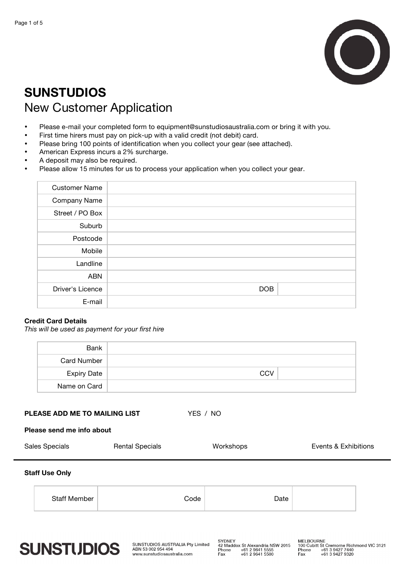

# **SUNSTUDIOS**  New Customer Application

- Please e-mail your completed form to equipment@sunstudiosaustralia.com or bring it with you.
- First time hirers must pay on pick-up with a valid credit (not debit) card.
- Please bring 100 points of identification when you collect your gear (see attached).
- American Express incurs a 2% surcharge.
- A deposit may also be required.
- Please allow 15 minutes for us to process your application when you collect your gear.

| <b>Customer Name</b> |            |
|----------------------|------------|
| Company Name         |            |
| Street / PO Box      |            |
| Suburb               |            |
| Postcode             |            |
| Mobile               |            |
| Landline             |            |
| <b>ABN</b>           |            |
| Driver's Licence     | <b>DOB</b> |
| E-mail               |            |

# **Credit Card Details**

*This will be used as payment for your first hire*

| Bank               |            |
|--------------------|------------|
| <b>Card Number</b> |            |
| <b>Expiry Date</b> | <b>CCV</b> |
| Name on Card       |            |

**PLEASE ADD ME TO MAILING LIST YES / NO** 

**Please send me info about**

| Sales Specials | <b>Rental Specials</b> | Workshops | Events & Exhibitions |
|----------------|------------------------|-----------|----------------------|
|                |                        |           |                      |

## **Staff Use Only**

| <b>Staff Member</b><br>Date<br>aho. |  |
|-------------------------------------|--|
|-------------------------------------|--|



SUNSTUDIOS AUSTRALIA Pty Limited ABN 53 002 954 494 www.sunstudiosaustralia.com

SYDNEY<br>42 Maddox St Alexandria NSW 2015<br>Phone +61 2 9641 5555<br>Fax +61 2 9641 5500

Fax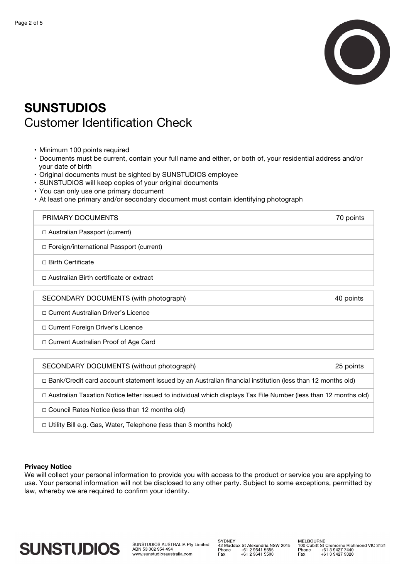

# **SUNSTUDIOS** Customer Identification Check

- Minimum 100 points required
- Documents must be current, contain your full name and either, or both of, your residential address and/or your date of birth
- Original documents must be sighted by SUNSTUDIOS employee
- SUNSTUDIOS will keep copies of your original documents
- You can only use one primary document
- At least one primary and/or secondary document must contain identifying photograph

| PRIMARY DOCUMENTS                                                                                               | 70 points |
|-----------------------------------------------------------------------------------------------------------------|-----------|
| $\Box$ Australian Passport (current)                                                                            |           |
| □ Foreign/international Passport (current)                                                                      |           |
| □ Birth Certificate                                                                                             |           |
| □ Australian Birth certificate or extract                                                                       |           |
| SECONDARY DOCUMENTS (with photograph)                                                                           | 40 points |
| □ Current Australian Driver's Licence                                                                           |           |
| □ Current Foreign Driver's Licence                                                                              |           |
| □ Current Australian Proof of Age Card                                                                          |           |
|                                                                                                                 |           |
| SECONDARY DOCUMENTS (without photograph)                                                                        | 25 points |
| — Danii (Onadhi aand aaaanni aisiamani harrad krism. Arramallan fhanachd haiffirithe. (Isaa ikan 40 maarika ald |           |

**!** Bank/Credit card account statement issued by an Australian financial institution (less than 12 months old)

**!** Australian Taxation Notice letter issued to individual which displays Tax File Number (less than 12 months old)

**!** Council Rates Notice (less than 12 months old)

□ Utility Bill e.g. Gas, Water, Telephone (less than 3 months hold)

### **Privacy Notice**

We will collect your personal information to provide you with access to the product or service you are applying to use. Your personal information will not be disclosed to any other party. Subject to some exceptions, permitted by law, whereby we are required to confirm your identity.



SUNSTUDIOS AUSTRALIA Pty Limited ABN 53 002 954 494 www.sunstudiosaustralia.com

SYDNEY<br>42 Maddox St Alexandria NSW 2015<br>Phone +61 2 9641 5555<br>Fax +61 2 9641 5500

MELBOURNE<br>100 Cubitt St Cremorne Richmond VIC 3121<br>Phone +61 3 9427 7440<br>Fax +61 3 9427 9320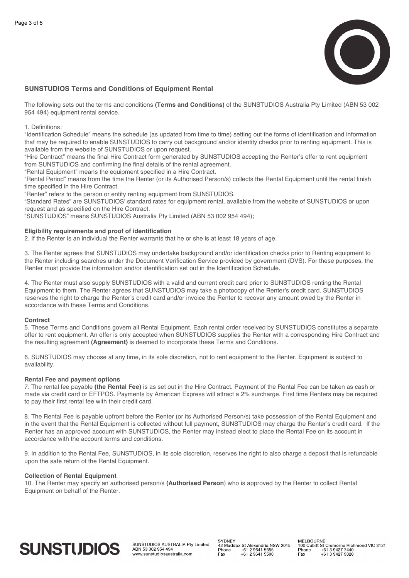

### **SUNSTUDIOS Terms and Conditions of Equipment Rental**

The following sets out the terms and conditions **(Terms and Conditions)** of the SUNSTUDIOS Australia Pty Limited (ABN 53 002 954 494) equipment rental service.

#### 1. Definitions:

"Identification Schedule" means the schedule (as updated from time to time) setting out the forms of identification and information that may be required to enable SUNSTUDIOS to carry out background and/or identity checks prior to renting equipment. This is available from the website of SUNSTUDIOS or upon request.

"Hire Contract" means the final Hire Contract form generated by SUNSTUDIOS accepting the Renter's offer to rent equipment from SUNSTUDIOS and confirming the final details of the rental agreement.

"Rental Equipment" means the equipment specified in a Hire Contract.

"Rental Period" means from the time the Renter (or its Authorised Person/s) collects the Rental Equipment until the rental finish time specified in the Hire Contract.

"Renter" refers to the person or entity renting equipment from SUNSTUDIOS.

"Standard Rates" are SUNSTUDIOS' standard rates for equipment rental, available from the website of SUNSTUDIOS or upon request and as specified on the Hire Contract.

"SUNSTUDIOS" means SUNSTUDIOS Australia Pty Limited (ABN 53 002 954 494);

#### **Eligibility requirements and proof of identification**

2. If the Renter is an individual the Renter warrants that he or she is at least 18 years of age.

3. The Renter agrees that SUNSTUDIOS may undertake background and/or identification checks prior to Renting equipment to the Renter including searches under the Document Verification Service provided by government (DVS). For these purposes, the Renter must provide the information and/or identification set out in the Identification Schedule.

4. The Renter must also supply SUNSTUDIOS with a valid and current credit card prior to SUNSTUDIOS renting the Rental Equipment to them. The Renter agrees that SUNSTUDIOS may take a photocopy of the Renter's credit card. SUNSTUDIOS reserves the right to charge the Renter's credit card and/or invoice the Renter to recover any amount owed by the Renter in accordance with these Terms and Conditions.

#### **Contract**

5. These Terms and Conditions govern all Rental Equipment. Each rental order received by SUNSTUDIOS constitutes a separate offer to rent equipment. An offer is only accepted when SUNSTUDIOS supplies the Renter with a corresponding Hire Contract and the resulting agreement **(Agreement)** is deemed to incorporate these Terms and Conditions.

6. SUNSTUDIOS may choose at any time, in its sole discretion, not to rent equipment to the Renter. Equipment is subject to availability.

#### **Rental Fee and payment options**

7. The rental fee payable **(the Rental Fee)** is as set out in the Hire Contract. Payment of the Rental Fee can be taken as cash or made via credit card or EFTPOS. Payments by American Express will attract a 2% surcharge. First time Renters may be required to pay their first rental fee with their credit card.

8. The Rental Fee is payable upfront before the Renter (or its Authorised Person/s) take possession of the Rental Equipment and in the event that the Rental Equipment is collected without full payment, SUNSTUDIOS may charge the Renter's credit card. If the Renter has an approved account with SUNSTUDIOS, the Renter may instead elect to place the Rental Fee on its account in accordance with the account terms and conditions.

9. In addition to the Rental Fee, SUNSTUDIOS, in its sole discretion, reserves the right to also charge a deposit that is refundable upon the safe return of the Rental Equipment.

#### **Collection of Rental Equipment**

10. The Renter may specify an authorised person/s **(Authorised Person**) who is approved by the Renter to collect Rental Equipment on behalf of the Renter.

# **SUNSTUDIOS**

SUNSTUDIOS AUSTRALIA Pty Limited ABN 53 002 954 494 www.sunstudiosaustralia.com

SVDNEY o i BitE<br>42 Maddox St Alexandria NSW 2015 Phone  $+61$  2 9641 5555<br> $+61$  2 9641 5500 Fax

MELBOURNE<br>100 Cubitt St Cremorne Richmond VIC 3121 Phone +61 3 9427 7440<br>+61 3 9427 9320 Fax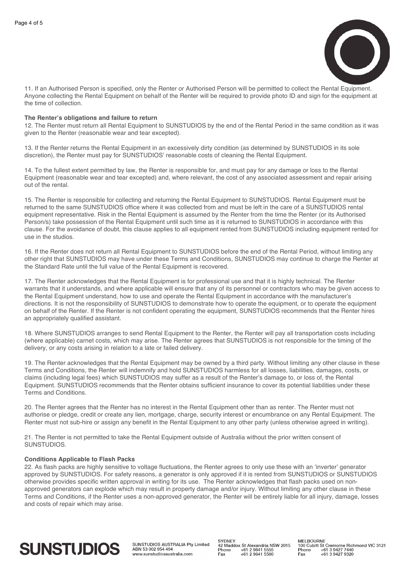

11. If an Authorised Person is specified, only the Renter or Authorised Person will be permitted to collect the Rental Equipment. Anyone collecting the Rental Equipment on behalf of the Renter will be required to provide photo ID and sign for the equipment at the time of collection.

## **The Renter's obligations and failure to return**

12. The Renter must return all Rental Equipment to SUNSTUDIOS by the end of the Rental Period in the same condition as it was given to the Renter (reasonable wear and tear excepted).

13. If the Renter returns the Rental Equipment in an excessively dirty condition (as determined by SUNSTUDIOS in its sole discretion), the Renter must pay for SUNSTUDIOS' reasonable costs of cleaning the Rental Equipment.

14. To the fullest extent permitted by law, the Renter is responsible for, and must pay for any damage or loss to the Rental Equipment (reasonable wear and tear excepted) and, where relevant, the cost of any associated assessment and repair arising out of the rental.

15. The Renter is responsible for collecting and returning the Rental Equipment to SUNSTUDIOS. Rental Equipment must be returned to the same SUNSTUDIOS office where it was collected from and must be left in the care of a SUNSTUDIOS rental equipment representative. Risk in the Rental Equipment is assumed by the Renter from the time the Renter (or its Authorised Person/s) take possession of the Rental Equipment until such time as it is returned to SUNSTUDIOS in accordance with this clause. For the avoidance of doubt, this clause applies to all equipment rented from SUNSTUDIOS including equipment rented for use in the studios.

16. If the Renter does not return all Rental Equipment to SUNSTUDIOS before the end of the Rental Period, without limiting any other right that SUNSTUDIOS may have under these Terms and Conditions, SUNSTUDIOS may continue to charge the Renter at the Standard Rate until the full value of the Rental Equipment is recovered.

17. The Renter acknowledges that the Rental Equipment is for professional use and that it is highly technical. The Renter warrants that it understands, and where applicable will ensure that any of its personnel or contractors who may be given access to the Rental Equipment understand, how to use and operate the Rental Equipment in accordance with the manufacturer's directions. It is not the responsibility of SUNSTUDIOS to demonstrate how to operate the equipment, or to operate the equipment on behalf of the Renter. If the Renter is not confident operating the equipment, SUNSTUDIOS recommends that the Renter hires an appropriately qualified assistant.

18. Where SUNSTUDIOS arranges to send Rental Equipment to the Renter, the Renter will pay all transportation costs including (where applicable) carnet costs, which may arise. The Renter agrees that SUNSTUDIOS is not responsible for the timing of the delivery, or any costs arising in relation to a late or failed delivery.

19. The Renter acknowledges that the Rental Equipment may be owned by a third party. Without limiting any other clause in these Terms and Conditions, the Renter will indemnify and hold SUNSTUDIOS harmless for all losses, liabilities, damages, costs, or claims (including legal fees) which SUNSTUDIOS may suffer as a result of the Renter's damage to, or loss of, the Rental Equipment. SUNSTUDIOS recommends that the Renter obtains sufficient insurance to cover its potential liabilities under these Terms and Conditions.

20. The Renter agrees that the Renter has no interest in the Rental Equipment other than as renter. The Renter must not authorise or pledge, credit or create any lien, mortgage, charge, security interest or encumbrance on any Rental Equipment. The Renter must not sub-hire or assign any benefit in the Rental Equipment to any other party (unless otherwise agreed in writing).

21. The Renter is not permitted to take the Rental Equipment outside of Australia without the prior written consent of SUNSTUDIOS.

#### **Conditions Applicable to Flash Packs**

22. As flash packs are highly sensitive to voltage fluctuations, the Renter agrees to only use these with an 'inverter' generator approved by SUNSTUDIOS. For safety reasons, a generator is only approved if it is rented from SUNSTUDIOS or SUNSTUDIOS otherwise provides specific written approval in writing for its use. The Renter acknowledges that flash packs used on nonapproved generators can explode which may result in property damage and/or injury. Without limiting any other clause in these Terms and Conditions, if the Renter uses a non-approved generator, the Renter will be entirely liable for all injury, damage, losses and costs of repair which may arise.

# **SUNSTUDIOS**

SUNSTUDIOS AUSTRALIA Pty Limited ABN 53 002 954 494 www.sunstudiosaustralia.com

SVDNEY 42 Maddox St Alexandria NSW 2015 Phone +61 2 9641 5555<br>+61 2 9641 5500 Fax

MELBOURNE<br>100 Cubitt St Cremorne Richmond VIC 3121 Phone +61 3 9427 7440<br>+61 3 9427 9320 Fax